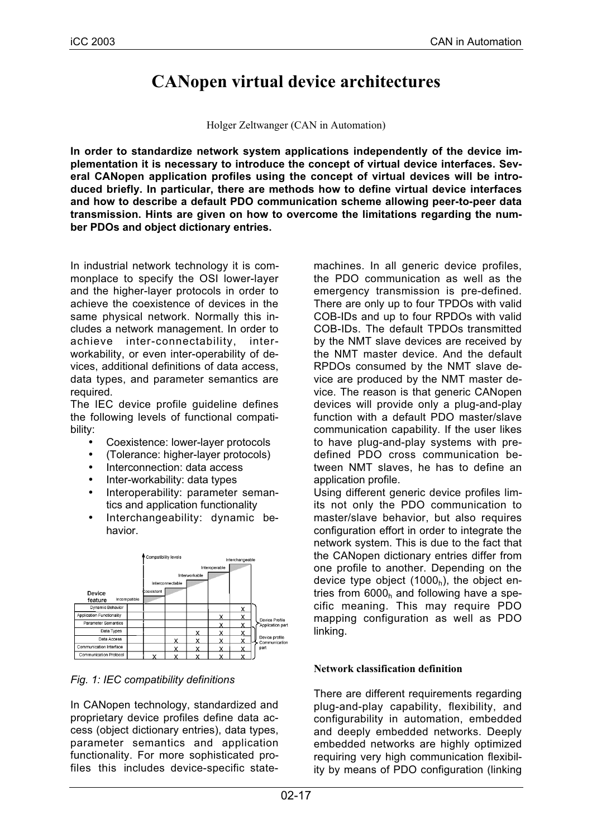# **CANopen virtual device architectures**

#### Holger Zeltwanger (CAN in Automation)

**In order to standardize network system applications independently of the device implementation it is necessary to introduce the concept of virtual device interfaces. Several CANopen application profiles using the concept of virtual devices will be introduced briefly. In particular, there are methods how to define virtual device interfaces and how to describe a default PDO communication scheme allowing peer-to-peer data transmission. Hints are given on how to overcome the limitations regarding the number PDOs and object dictionary entries.**

In industrial network technology it is commonplace to specify the OSI lower-layer and the higher-layer protocols in order to achieve the coexistence of devices in the same physical network. Normally this includes a network management. In order to achieve inter-connectability, interworkability, or even inter-operability of devices, additional definitions of data access, data types, and parameter semantics are required.

The IEC device profile guideline defines the following levels of functional compatibility:

- Coexistence: lower-layer protocols
- (Tolerance: higher-layer protocols)
- Interconnection: data access
- Inter-workability: data types
- Interoperability: parameter semantics and application functionality
- Interchangeability: dynamic behavior.



## *Fig. 1: IEC compatibility definitions*

In CANopen technology, standardized and proprietary device profiles define data access (object dictionary entries), data types, parameter semantics and application functionality. For more sophisticated profiles this includes device-specific statemachines. In all generic device profiles, the PDO communication as well as the emergency transmission is pre-defined. There are only up to four TPDOs with valid COB-IDs and up to four RPDOs with valid COB-IDs. The default TPDOs transmitted by the NMT slave devices are received by the NMT master device. And the default RPDOs consumed by the NMT slave device are produced by the NMT master device. The reason is that generic CANopen devices will provide only a plug-and-play function with a default PDO master/slave communication capability. If the user likes to have plug-and-play systems with predefined PDO cross communication between NMT slaves, he has to define an application profile.

Using different generic device profiles limits not only the PDO communication to master/slave behavior, but also requires configuration effort in order to integrate the network system. This is due to the fact that the CANopen dictionary entries differ from one profile to another. Depending on the device type object  $(1000<sub>h</sub>)$ , the object entries from  $6000<sub>h</sub>$  and following have a specific meaning. This may require PDO mapping configuration as well as PDO linking.

## **Network classification definition**

There are different requirements regarding plug-and-play capability, flexibility, and configurability in automation, embedded and deeply embedded networks. Deeply embedded networks are highly optimized requiring very high communication flexibility by means of PDO configuration (linking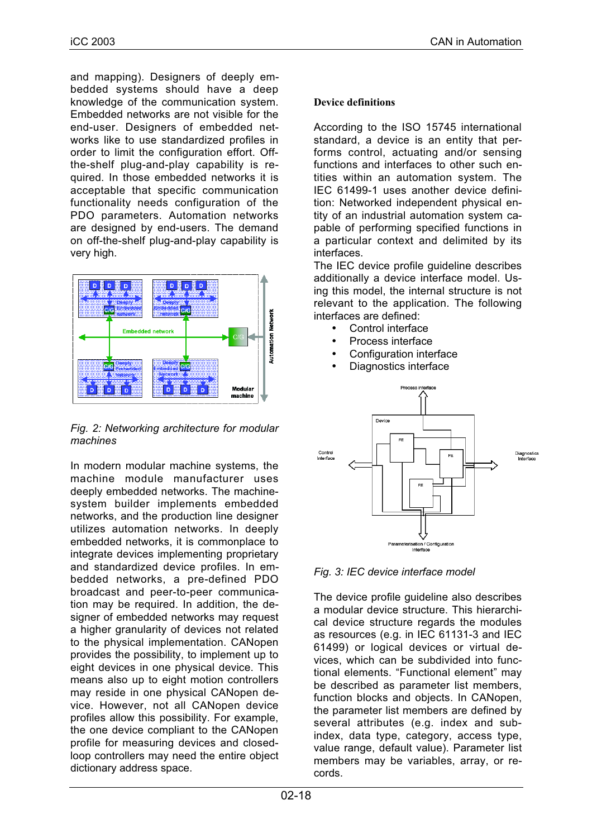and mapping). Designers of deeply embedded systems should have a deep knowledge of the communication system. Embedded networks are not visible for the end-user. Designers of embedded networks like to use standardized profiles in order to limit the configuration effort. Offthe-shelf plug-and-play capability is required. In those embedded networks it is acceptable that specific communication functionality needs configuration of the PDO parameters. Automation networks are designed by end-users. The demand on off-the-shelf plug-and-play capability is very high.



*Fig. 2: Networking architecture for modular machines*

In modern modular machine systems, the machine module manufacturer uses deeply embedded networks. The machinesystem builder implements embedded networks, and the production line designer utilizes automation networks. In deeply embedded networks, it is commonplace to integrate devices implementing proprietary and standardized device profiles. In embedded networks, a pre-defined PDO broadcast and peer-to-peer communication may be required. In addition, the designer of embedded networks may request a higher granularity of devices not related to the physical implementation. CANopen provides the possibility, to implement up to eight devices in one physical device. This means also up to eight motion controllers may reside in one physical CANopen device. However, not all CANopen device profiles allow this possibility. For example, the one device compliant to the CANopen profile for measuring devices and closedloop controllers may need the entire object dictionary address space.

#### **Device definitions**

According to the ISO 15745 international standard, a device is an entity that performs control, actuating and/or sensing functions and interfaces to other such entities within an automation system. The IEC 61499-1 uses another device definition: Networked independent physical entity of an industrial automation system capable of performing specified functions in a particular context and delimited by its interfaces.

The IEC device profile guideline describes additionally a device interface model. Using this model, the internal structure is not relevant to the application. The following interfaces are defined:

- Control interface
- Process interface
- Configuration interface
- Diagnostics interface



*Fig. 3: IEC device interface model*

The device profile guideline also describes a modular device structure. This hierarchical device structure regards the modules as resources (e.g. in IEC 61131-3 and IEC 61499) or logical devices or virtual devices, which can be subdivided into functional elements. "Functional element" may be described as parameter list members, function blocks and objects. In CANopen, the parameter list members are defined by several attributes (e.g. index and subindex, data type, category, access type, value range, default value). Parameter list members may be variables, array, or records.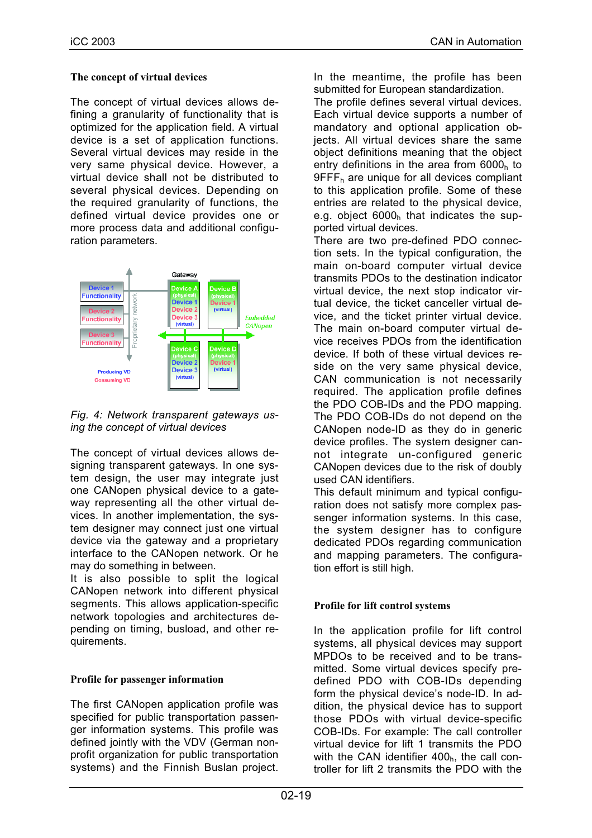### **The concept of virtual devices**

The concept of virtual devices allows defining a granularity of functionality that is optimized for the application field. A virtual device is a set of application functions. Several virtual devices may reside in the very same physical device. However, a virtual device shall not be distributed to several physical devices. Depending on the required granularity of functions, the defined virtual device provides one or more process data and additional configuration parameters.



*Fig. 4: Network transparent gateways using the concept of virtual devices*

The concept of virtual devices allows designing transparent gateways. In one system design, the user may integrate just one CANopen physical device to a gateway representing all the other virtual devices. In another implementation, the system designer may connect just one virtual device via the gateway and a proprietary interface to the CANopen network. Or he may do something in between.

It is also possible to split the logical CANopen network into different physical segments. This allows application-specific network topologies and architectures depending on timing, busload, and other requirements.

## **Profile for passenger information**

The first CANopen application profile was specified for public transportation passenger information systems. This profile was defined jointly with the VDV (German nonprofit organization for public transportation systems) and the Finnish Buslan project.

In the meantime, the profile has been submitted for European standardization.

The profile defines several virtual devices. Each virtual device supports a number of mandatory and optional application objects. All virtual devices share the same object definitions meaning that the object entry definitions in the area from  $6000<sub>h</sub>$  to  $9$ FFF<sub>h</sub> are unique for all devices compliant to this application profile. Some of these entries are related to the physical device, e.g. object  $6000<sub>h</sub>$  that indicates the supported virtual devices.

There are two pre-defined PDO connection sets. In the typical configuration, the main on-board computer virtual device transmits PDOs to the destination indicator virtual device, the next stop indicator virtual device, the ticket canceller virtual device, and the ticket printer virtual device. The main on-board computer virtual device receives PDOs from the identification device. If both of these virtual devices reside on the very same physical device, CAN communication is not necessarily required. The application profile defines the PDO COB-IDs and the PDO mapping. The PDO COB-IDs do not depend on the CANopen node-ID as they do in generic device profiles. The system designer cannot integrate un-configured generic CANopen devices due to the risk of doubly used CAN identifiers.

This default minimum and typical configuration does not satisfy more complex passenger information systems. In this case, the system designer has to configure dedicated PDOs regarding communication and mapping parameters. The configuration effort is still high.

## **Profile for lift control systems**

In the application profile for lift control systems, all physical devices may support MPDOs to be received and to be transmitted. Some virtual devices specify predefined PDO with COB-IDs depending form the physical device's node-ID. In addition, the physical device has to support those PDOs with virtual device-specific COB-IDs. For example: The call controller virtual device for lift 1 transmits the PDO with the CAN identifier  $400<sub>h</sub>$ , the call controller for lift 2 transmits the PDO with the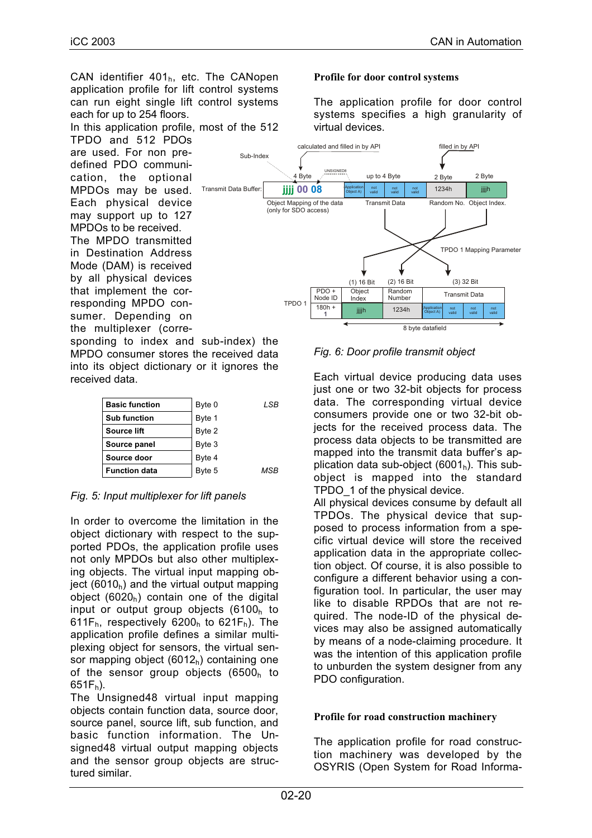CAN identifier  $401<sub>h</sub>$ , etc. The CANopen application profile for lift control systems can run eight single lift control systems each for up to 254 floors.

In this application profile, most of the 512

TPDO and 512 PDOs are used. For non predefined PDO communication, the optional MPDOs may be used. Each physical device may support up to 127 MPDOs to be received.

The MPDO transmitted in Destination Address Mode (DAM) is received by all physical devices that implement the corresponding MPDO consumer. Depending on the multiplexer (corre-

sponding to index and sub-index) the MPDO consumer stores the received data into its object dictionary or it ignores the received data.

| <b>Basic function</b> | Byte 0 | LSB |
|-----------------------|--------|-----|
| <b>Sub function</b>   | Byte 1 |     |
| Source lift           | Byte 2 |     |
| Source panel          | Byte 3 |     |
| Source door           | Byte 4 |     |
| <b>Function data</b>  | Byte 5 | MSB |

*Fig. 5: Input multiplexer for lift panels*

In order to overcome the limitation in the object dictionary with respect to the supported PDOs, the application profile uses not only MPDOs but also other multiplexing objects. The virtual input mapping object (6010 $<sub>h</sub>$ ) and the virtual output mapping</sub> object  $(6020<sub>h</sub>)$  contain one of the digital input or output group objects  $(6100<sub>h</sub>$  to 611F<sub>h</sub>, respectively 6200<sub>h</sub> to 621F<sub>h</sub>). The application profile defines a similar multiplexing object for sensors, the virtual sensor mapping object  $(6012<sub>h</sub>)$  containing one of the sensor group objects (6500<sub>h</sub> to  $651F_h$ ).

The Unsigned48 virtual input mapping objects contain function data, source door, source panel, source lift, sub function, and basic function information. The Unsigned48 virtual output mapping objects and the sensor group objects are structured similar.

### **Profile for door control systems**

The application profile for door control systems specifies a high granularity of virtual devices.



## *Fig. 6: Door profile transmit object*

Each virtual device producing data uses just one or two 32-bit objects for process data. The corresponding virtual device consumers provide one or two 32-bit objects for the received process data. The process data objects to be transmitted are mapped into the transmit data buffer's application data sub-object  $(6001<sub>h</sub>)$ . This subobject is mapped into the standard TPDO\_1 of the physical device.

All physical devices consume by default all TPDOs. The physical device that supposed to process information from a specific virtual device will store the received application data in the appropriate collection object. Of course, it is also possible to configure a different behavior using a configuration tool. In particular, the user may like to disable RPDOs that are not required. The node-ID of the physical devices may also be assigned automatically by means of a node-claiming procedure. It was the intention of this application profile to unburden the system designer from any PDO configuration.

## **Profile for road construction machinery**

The application profile for road construction machinery was developed by the OSYRIS (Open System for Road Informa